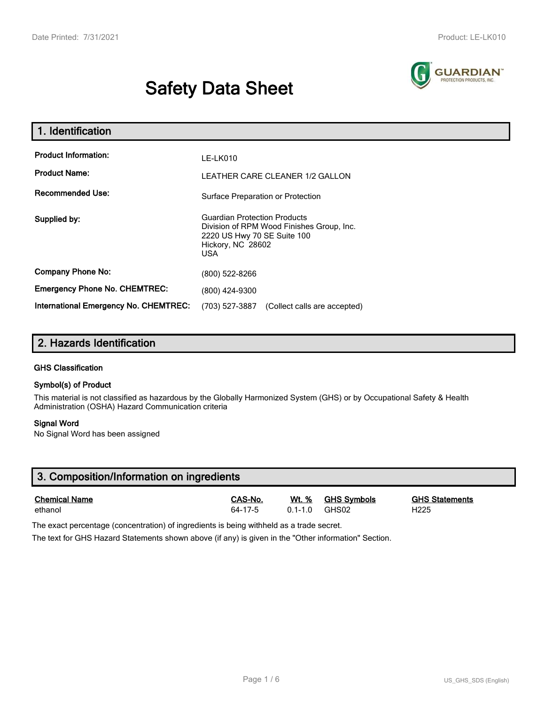# **Safety Data Sheet**



| 1. Identification                                   |                                                                                                                                                    |  |  |  |  |
|-----------------------------------------------------|----------------------------------------------------------------------------------------------------------------------------------------------------|--|--|--|--|
| <b>Product Information:</b><br><b>Product Name:</b> | LE-LK010<br>LEATHER CARE CLEANER 1/2 GALLON                                                                                                        |  |  |  |  |
| <b>Recommended Use:</b>                             | Surface Preparation or Protection                                                                                                                  |  |  |  |  |
| Supplied by:                                        | <b>Guardian Protection Products</b><br>Division of RPM Wood Finishes Group, Inc.<br>2220 US Hwy 70 SE Suite 100<br>Hickory, NC 28602<br><b>USA</b> |  |  |  |  |
| <b>Company Phone No:</b>                            | (800) 522-8266                                                                                                                                     |  |  |  |  |
| <b>Emergency Phone No. CHEMTREC:</b>                | (800) 424-9300                                                                                                                                     |  |  |  |  |
| International Emergency No. CHEMTREC:               | (703) 527-3887<br>(Collect calls are accepted)                                                                                                     |  |  |  |  |

# **2. Hazards Identification**

#### **GHS Classification**

#### **Symbol(s) of Product**

This material is not classified as hazardous by the Globally Harmonized System (GHS) or by Occupational Safety & Health Administration (OSHA) Hazard Communication criteria

#### **Signal Word**

No Signal Word has been assigned

| 3. Composition/Information on ingredients |               |             |                    |                       |  |  |
|-------------------------------------------|---------------|-------------|--------------------|-----------------------|--|--|
| <b>Chemical Name</b>                      | CAS-No.       | Wt. %       | <b>GHS Svmbols</b> | <b>GHS Statements</b> |  |  |
| ethanol                                   | $64 - 17 - 5$ | $0.1 - 1.0$ | GHS02              | H <sub>225</sub>      |  |  |

The exact percentage (concentration) of ingredients is being withheld as a trade secret.

The text for GHS Hazard Statements shown above (if any) is given in the "Other information" Section.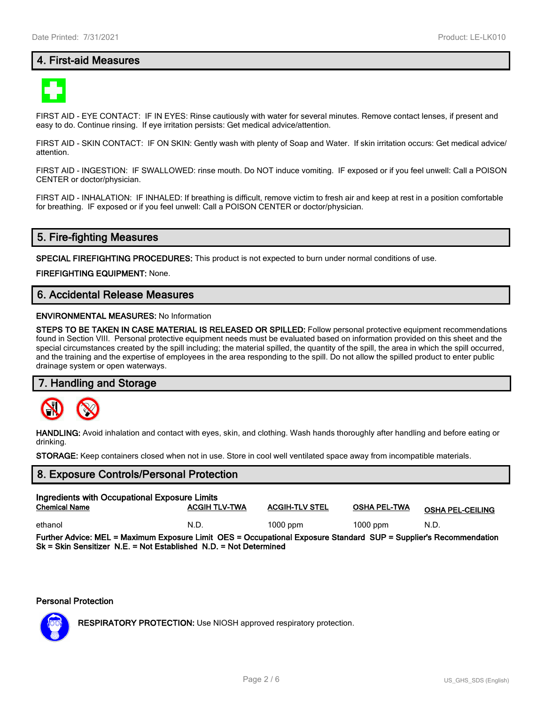# **4. First-aid Measures**



FIRST AID - EYE CONTACT: IF IN EYES: Rinse cautiously with water for several minutes. Remove contact lenses, if present and easy to do. Continue rinsing. If eye irritation persists: Get medical advice/attention.

FIRST AID - SKIN CONTACT: IF ON SKIN: Gently wash with plenty of Soap and Water. If skin irritation occurs: Get medical advice/ attention.

FIRST AID - INGESTION: IF SWALLOWED: rinse mouth. Do NOT induce vomiting. IF exposed or if you feel unwell: Call a POISON CENTER or doctor/physician.

FIRST AID - INHALATION: IF INHALED: If breathing is difficult, remove victim to fresh air and keep at rest in a position comfortable for breathing. IF exposed or if you feel unwell: Call a POISON CENTER or doctor/physician.

# **5. Fire-fighting Measures**

**SPECIAL FIREFIGHTING PROCEDURES:** This product is not expected to burn under normal conditions of use.

**FIREFIGHTING EQUIPMENT:** None.

# **6. Accidental Release Measures**

#### **ENVIRONMENTAL MEASURES:** No Information

**STEPS TO BE TAKEN IN CASE MATERIAL IS RELEASED OR SPILLED:** Follow personal protective equipment recommendations found in Section VIII. Personal protective equipment needs must be evaluated based on information provided on this sheet and the special circumstances created by the spill including; the material spilled, the quantity of the spill, the area in which the spill occurred, and the training and the expertise of employees in the area responding to the spill. Do not allow the spilled product to enter public drainage system or open waterways.

#### **7. Handling and Storage**



**HANDLING:** Avoid inhalation and contact with eyes, skin, and clothing. Wash hands thoroughly after handling and before eating or drinking.

**STORAGE:** Keep containers closed when not in use. Store in cool well ventilated space away from incompatible materials.

# **8. Exposure Controls/Personal Protection Ingredients with Occupational Exposure Limits Chemical Name ACGIH TLV-TWA ACGIH-TLV STEL OSHA PEL-TWA OSHA PEL-CEILING** ethanol N.D. 1000 ppm 1000 ppm N.D.

**Further Advice: MEL = Maximum Exposure Limit OES = Occupational Exposure Standard SUP = Supplier's Recommendation Sk = Skin Sensitizer N.E. = Not Established N.D. = Not Determined**

#### **Personal Protection**



**RESPIRATORY PROTECTION:** Use NIOSH approved respiratory protection.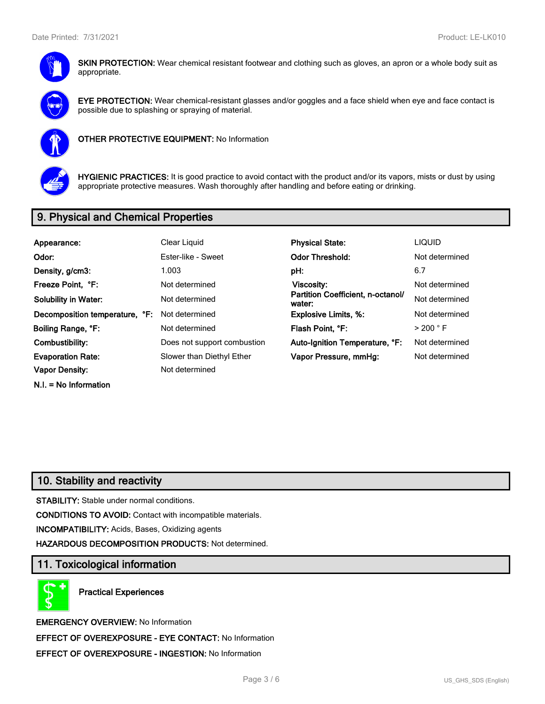

**SKIN PROTECTION:** Wear chemical resistant footwear and clothing such as gloves, an apron or a whole body suit as appropriate.



**EYE PROTECTION:** Wear chemical-resistant glasses and/or goggles and a face shield when eye and face contact is possible due to splashing or spraying of material.



**OTHER PROTECTIVE EQUIPMENT:** No Information



**HYGIENIC PRACTICES:** It is good practice to avoid contact with the product and/or its vapors, mists or dust by using appropriate protective measures. Wash thoroughly after handling and before eating or drinking.

# **9. Physical and Chemical Properties**

| Appearance:                    | Clear Liquid                | <b>Physical State:</b>                      | <b>LIQUID</b>        |
|--------------------------------|-----------------------------|---------------------------------------------|----------------------|
| Odor:                          | Ester-like - Sweet          | <b>Odor Threshold:</b>                      | Not determined       |
| Density, g/cm3:                | 1.003                       | pH:                                         | 6.7                  |
| Freeze Point, °F:              | Not determined              | Viscosity:                                  | Not determined       |
| <b>Solubility in Water:</b>    | Not determined              | Partition Coefficient, n-octanol/<br>water: | Not determined       |
| Decomposition temperature, °F: | Not determined              | <b>Explosive Limits, %:</b>                 | Not determined       |
| Boiling Range, °F:             | Not determined              | Flash Point, °F:                            | $>$ 200 $^{\circ}$ F |
| Combustibility:                | Does not support combustion | Auto-Ignition Temperature, °F:              | Not determined       |
| <b>Evaporation Rate:</b>       | Slower than Diethyl Ether   | Vapor Pressure, mmHg:                       | Not determined       |
| Vapor Density:                 | Not determined              |                                             |                      |
| $N.I. = No$ Information        |                             |                                             |                      |

# **10. Stability and reactivity**

**STABILITY:** Stable under normal conditions.

**CONDITIONS TO AVOID:** Contact with incompatible materials.

**INCOMPATIBILITY:** Acids, Bases, Oxidizing agents

**HAZARDOUS DECOMPOSITION PRODUCTS:** Not determined.

#### **11. Toxicological information**

**Practical Experiences**

**EMERGENCY OVERVIEW:** No Information **EFFECT OF OVEREXPOSURE - EYE CONTACT:** No Information **EFFECT OF OVEREXPOSURE - INGESTION:** No Information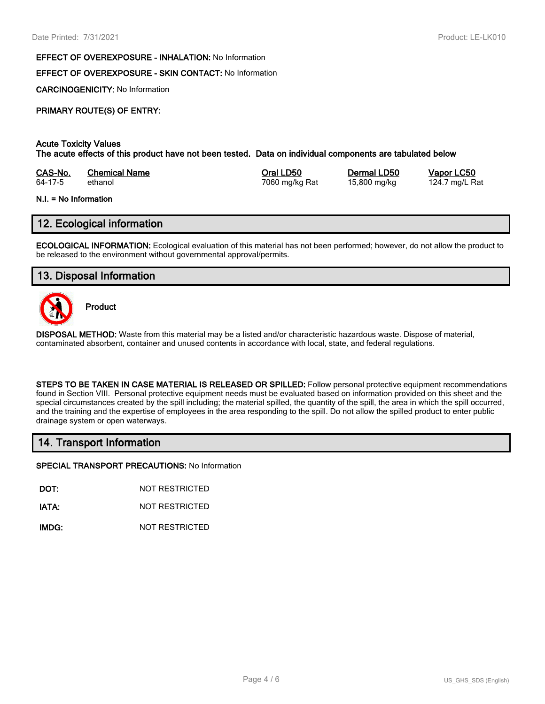#### **EFFECT OF OVEREXPOSURE - INHALATION:** No Information

#### **EFFECT OF OVEREXPOSURE - SKIN CONTACT:** No Information

**CARCINOGENICITY:** No Information

# **PRIMARY ROUTE(S) OF ENTRY:**

#### **Acute Toxicity Values**

**The acute effects of this product have not been tested. Data on individual components are tabulated below**

| CAS-No. | <b>Chemical Name</b> | Oral LD50      | Dermal LD50  | Vapor LC50     |
|---------|----------------------|----------------|--------------|----------------|
| 64-17-5 | ethanol              | 7060 mg/kg Rat | 15,800 mg/kg | 124.7 mg/L Rat |

#### **N.I. = No Information**

# **12. Ecological information**

**ECOLOGICAL INFORMATION:** Ecological evaluation of this material has not been performed; however, do not allow the product to be released to the environment without governmental approval/permits.

# **13. Disposal Information**



**Product**

**DISPOSAL METHOD:** Waste from this material may be a listed and/or characteristic hazardous waste. Dispose of material, contaminated absorbent, container and unused contents in accordance with local, state, and federal regulations.

**STEPS TO BE TAKEN IN CASE MATERIAL IS RELEASED OR SPILLED:** Follow personal protective equipment recommendations found in Section VIII. Personal protective equipment needs must be evaluated based on information provided on this sheet and the special circumstances created by the spill including; the material spilled, the quantity of the spill, the area in which the spill occurred, and the training and the expertise of employees in the area responding to the spill. Do not allow the spilled product to enter public drainage system or open waterways.

#### **14. Transport Information**

**SPECIAL TRANSPORT PRECAUTIONS:** No Information

**DOT:** NOT RESTRICTED

**IATA:** NOT RESTRICTED

**IMDG:** NOT RESTRICTED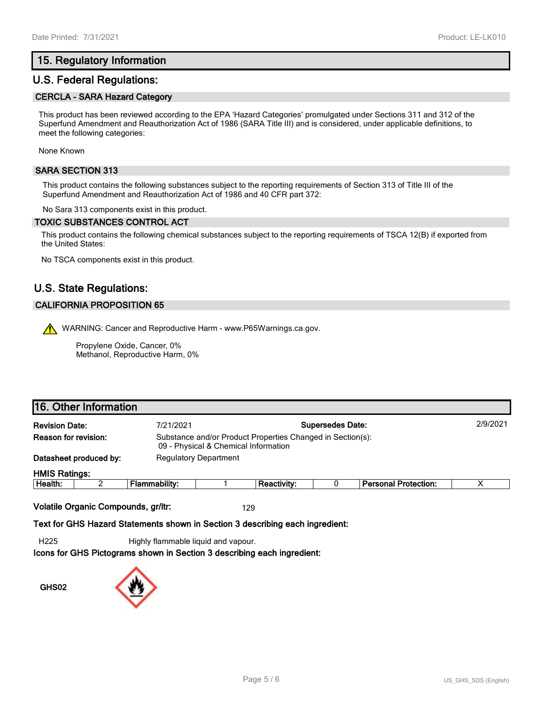# **15. Regulatory Information**

# **U.S. Federal Regulations:**

#### **CERCLA - SARA Hazard Category**

This product has been reviewed according to the EPA 'Hazard Categories' promulgated under Sections 311 and 312 of the Superfund Amendment and Reauthorization Act of 1986 (SARA Title III) and is considered, under applicable definitions, to meet the following categories:

None Known

#### **SARA SECTION 313**

This product contains the following substances subject to the reporting requirements of Section 313 of Title III of the Superfund Amendment and Reauthorization Act of 1986 and 40 CFR part 372:

No Sara 313 components exist in this product.

#### **TOXIC SUBSTANCES CONTROL ACT**

This product contains the following chemical substances subject to the reporting requirements of TSCA 12(B) if exported from the United States:

No TSCA components exist in this product.

# **U.S. State Regulations:**

#### **CALIFORNIA PROPOSITION 65**

WARNING: Cancer and Reproductive Harm - www.P65Warnings.ca.gov.

Propylene Oxide, Cancer, 0% Methanol, Reproductive Harm, 0%

# **16. Other Information**

| <b>Revision Date:</b> |                        | 7/21/2021     | <b>Supersedes Date:</b>                                                                            |                    |  |                             | 2/9/2021 |
|-----------------------|------------------------|---------------|----------------------------------------------------------------------------------------------------|--------------------|--|-----------------------------|----------|
| Reason for revision:  |                        |               | Substance and/or Product Properties Changed in Section(s):<br>09 - Physical & Chemical Information |                    |  |                             |          |
|                       | Datasheet produced by: |               | <b>Regulatory Department</b>                                                                       |                    |  |                             |          |
| <b>HMIS Ratings:</b>  |                        |               |                                                                                                    |                    |  |                             |          |
| Health:               |                        | Flammability: |                                                                                                    | <b>Reactivity:</b> |  | <b>Personal Protection:</b> |          |
|                       |                        |               |                                                                                                    |                    |  |                             |          |

**Volatile Organic Compounds, gr/ltr:** 129

**Text for GHS Hazard Statements shown in Section 3 describing each ingredient:**

H225 Highly flammable liquid and vapour.

**Icons for GHS Pictograms shown in Section 3 describing each ingredient:**